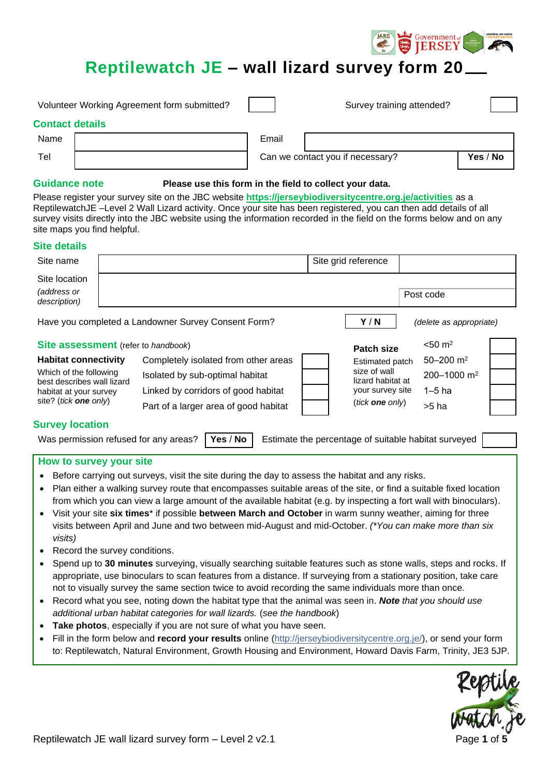# **Reptilewatch JE – wall lizard survey form 20**

Government

| Volunteer Working Agreement form submitted? |  |       | Survey training attended?                                                                                      |          |
|---------------------------------------------|--|-------|----------------------------------------------------------------------------------------------------------------|----------|
| <b>Contact details</b>                      |  |       |                                                                                                                |          |
| Name                                        |  | Email |                                                                                                                |          |
| Tel                                         |  |       | Can we contact you if necessary?                                                                               | Yes / No |
| Ordelanda mata                              |  |       | This case of a contribution of the contribution of the contribution of the contribution of the contribution of |          |

#### **Guidance note Please use this form in the field to collect your data.**

Please register your survey site on the JBC website **<https://jerseybiodiversitycentre.org.je/activities>** as a ReptilewatchJE –Level 2 Wall Lizard activity. Once your site has been registered, you can then add details of all survey visits directly into the JBC website using the information recorded in the field on the forms below and on any site maps you find helpful.

#### **Site details**

| Site name                                                                                                                                               |  |                                       |                        | Site grid reference               |                           |  |  |  |
|---------------------------------------------------------------------------------------------------------------------------------------------------------|--|---------------------------------------|------------------------|-----------------------------------|---------------------------|--|--|--|
| Site location<br>(address or<br>description)                                                                                                            |  |                                       |                        |                                   | Post code                 |  |  |  |
| Y/N<br>Have you completed a Landowner Survey Consent Form?<br>(delete as appropriate)                                                                   |  |                                       |                        |                                   |                           |  |  |  |
| <b>Site assessment</b> (refer to handbook)                                                                                                              |  |                                       |                        | <b>Patch size</b>                 | $< 50 \text{ m}^2$        |  |  |  |
| <b>Habitat connectivity</b>                                                                                                                             |  | Completely isolated from other areas  |                        | Estimated patch                   | $50 - 200$ m <sup>2</sup> |  |  |  |
| Which of the following<br>best describes wall lizard                                                                                                    |  | Isolated by sub-optimal habitat       |                        | size of wall<br>lizard habitat at | 200-1000 m <sup>2</sup>   |  |  |  |
| habitat at your survey                                                                                                                                  |  | Linked by corridors of good habitat   |                        | your survey site                  | $1-5$ ha                  |  |  |  |
| site? (tick <b>one</b> only)                                                                                                                            |  | Part of a larger area of good habitat | (tick <b>one</b> only) |                                   | >5 ha                     |  |  |  |
| <b>Survey location</b>                                                                                                                                  |  |                                       |                        |                                   |                           |  |  |  |
| Yes / No<br>Was permission refused for any areas?<br>Estimate the percentage of suitable habitat surveyed<br><b>Contract Contract Contract Contract</b> |  |                                       |                        |                                   |                           |  |  |  |

# **How to survey your site**

- Before carrying out surveys, visit the site during the day to assess the habitat and any risks.
- Plan either a walking survey route that encompasses suitable areas of the site, or find a suitable fixed location from which you can view a large amount of the available habitat (e.g. by inspecting a fort wall with binoculars).
- Visit your site **six times**\* if possible **between March and October** in warm sunny weather, aiming for three visits between April and June and two between mid-August and mid-October. *(\*You can make more than six visits)*
- Record the survey conditions.
- Spend up to **30 minutes** surveying, visually searching suitable features such as stone walls, steps and rocks. If appropriate, use binoculars to scan features from a distance. If surveying from a stationary position, take care not to visually survey the same section twice to avoid recording the same individuals more than once.
- Record what you see, noting down the habitat type that the animal was seen in. *Note that you should use additional urban habitat categories for wall lizards.* (*see the handbook*)
- **Take photos**, especially if you are not sure of what you have seen.
- Fill in the form below and **record your results** online [\(http://jerseybiodiversitycentre.org.je/\)](http://jerseybiodiversitycentre.org.je/), or send your form to: Reptilewatch, Natural Environment, Growth Housing and Environment, Howard Davis Farm, Trinity, JE3 5JP.

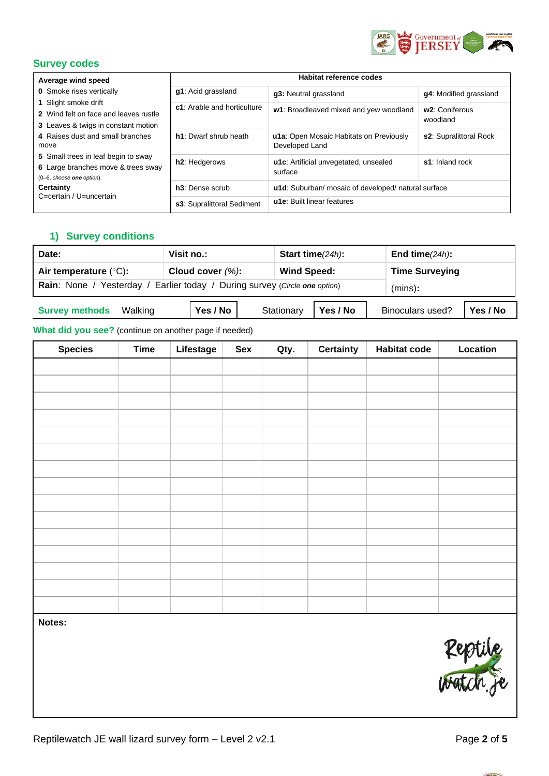

#### **Survey codes**

| Average wind speed                                                                                                                                                                                                                                                                                                                    | <b>Habitat reference codes</b> |                                                           |                                         |  |  |  |
|---------------------------------------------------------------------------------------------------------------------------------------------------------------------------------------------------------------------------------------------------------------------------------------------------------------------------------------|--------------------------------|-----------------------------------------------------------|-----------------------------------------|--|--|--|
| <b>0</b> Smoke rises vertically<br>1 Slight smoke drift<br>2 Wind felt on face and leaves rustle<br>3 Leaves & twigs in constant motion<br>4 Raises dust and small branches<br>move<br>5 Small trees in leaf begin to sway<br>6 Large branches move & trees sway<br>(0-6, choose one option).<br>Certainty<br>C=certain / U=uncertain | g1: Acid grassland             | g3: Neutral grassland                                     | g4: Modified grassland                  |  |  |  |
|                                                                                                                                                                                                                                                                                                                                       | c1: Arable and horticulture    | w1: Broadleaved mixed and yew woodland                    | w <sub>2</sub> : Coniferous<br>woodland |  |  |  |
|                                                                                                                                                                                                                                                                                                                                       | h1: Dwarf shrub heath          | u1a: Open Mosaic Habitats on Previously<br>Developed Land | s2: Supralittoral Rock                  |  |  |  |
|                                                                                                                                                                                                                                                                                                                                       | h <sub>2</sub> : Hedgerows     | u1c: Artificial unvegetated, unsealed<br>surface          | s1: Inland rock                         |  |  |  |
|                                                                                                                                                                                                                                                                                                                                       | h <sub>3</sub> : Dense scrub   | u1d: Suburban/ mosaic of developed/ natural surface       |                                         |  |  |  |
|                                                                                                                                                                                                                                                                                                                                       | s3: Supralittoral Sediment     | u1e: Built linear features                                |                                         |  |  |  |

### **1) Survey conditions**

| Date:                                                                                         | Visit no.: | Start time $(24h)$ :   | End time $(24h)$ :           |  |  |  |  |
|-----------------------------------------------------------------------------------------------|------------|------------------------|------------------------------|--|--|--|--|
| Air temperature $(°C)$ :<br>Cloud cover $(\%)$ :<br><b>Wind Speed:</b>                        |            |                        | <b>Time Surveying</b>        |  |  |  |  |
| <b>Rain:</b> None / Yesterday<br>Earlier today / During survey (Circle one option)<br>(mins): |            |                        |                              |  |  |  |  |
| <b>Survey methods</b><br>Walking                                                              | Yes / No   | Yes / No<br>Stationary | Yes / No<br>Binoculars used? |  |  |  |  |

## **What did you see?** (continue on another page if needed)

| <b>Species</b> | <b>Time</b> | Lifestage | Sex | Qty. | <b>Certainty</b> | <b>Habitat code</b> | Location |
|----------------|-------------|-----------|-----|------|------------------|---------------------|----------|
|                |             |           |     |      |                  |                     |          |
|                |             |           |     |      |                  |                     |          |
|                |             |           |     |      |                  |                     |          |
|                |             |           |     |      |                  |                     |          |
|                |             |           |     |      |                  |                     |          |
|                |             |           |     |      |                  |                     |          |
|                |             |           |     |      |                  |                     |          |
|                |             |           |     |      |                  |                     |          |
|                |             |           |     |      |                  |                     |          |
|                |             |           |     |      |                  |                     |          |
|                |             |           |     |      |                  |                     |          |
|                |             |           |     |      |                  |                     |          |
|                |             |           |     |      |                  |                     |          |
|                |             |           |     |      |                  |                     |          |
|                |             |           |     |      |                  |                     |          |

**Notes:**



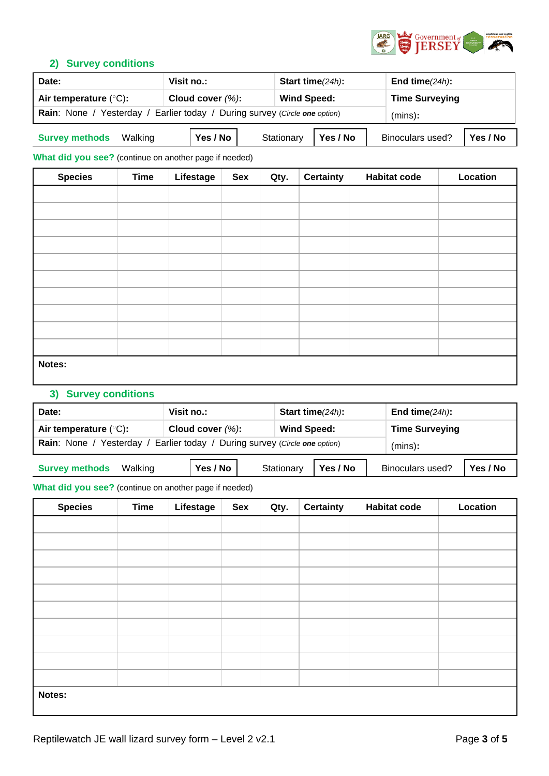

#### **2) Survey conditions**

| Visit no.:<br>Start time $(24h)$ :<br>Date:                                 |                      |                        | End time $(24h)$ :           |  |  |
|-----------------------------------------------------------------------------|----------------------|------------------------|------------------------------|--|--|
| Air temperature $(°C)$ :                                                    | Cloud cover $(\%)$ : | <b>Wind Speed:</b>     | <b>Time Surveying</b>        |  |  |
| Rain: None / Yesterday<br>Earlier today / During survey (Circle one option) | (mins):              |                        |                              |  |  |
| <b>Survey methods</b><br>Walking                                            | Yes / No             | Yes / No<br>Stationary | Binoculars used?<br>Yes / No |  |  |

**What did you see?** (continue on another page if needed)

| <b>Species</b> | <b>Time</b> | Lifestage | Sex | Qty. | <b>Certainty</b> | <b>Habitat code</b> | Location |
|----------------|-------------|-----------|-----|------|------------------|---------------------|----------|
|                |             |           |     |      |                  |                     |          |
|                |             |           |     |      |                  |                     |          |
|                |             |           |     |      |                  |                     |          |
|                |             |           |     |      |                  |                     |          |
|                |             |           |     |      |                  |                     |          |
|                |             |           |     |      |                  |                     |          |
|                |             |           |     |      |                  |                     |          |
|                |             |           |     |      |                  |                     |          |
|                |             |           |     |      |                  |                     |          |
|                |             |           |     |      |                  |                     |          |
| Notes:         |             |           |     |      |                  |                     |          |

# **3) Survey conditions**

| Date:                                                                                                         | Visit no.:         | Start time $(24h)$ : | End time $(24h)$ :    |  |  |  |  |
|---------------------------------------------------------------------------------------------------------------|--------------------|----------------------|-----------------------|--|--|--|--|
| Air temperature $(°C)$ :                                                                                      | Cloud cover $(%):$ | <b>Wind Speed:</b>   | <b>Time Surveying</b> |  |  |  |  |
| <b>Rain:</b> None / Yesterday<br>Earlier today / During survey (Circle one option)                            | (mins):            |                      |                       |  |  |  |  |
| Yes / No<br>Yes / No<br>Yes / No<br><b>Binoculars used?</b><br><b>Survey methods</b><br>Stationary<br>Walking |                    |                      |                       |  |  |  |  |

#### **What did you see?** (continue on another page if needed)

| <b>Species</b> | <b>Time</b> | Lifestage | Sex | Qty. | <b>Certainty</b> | <b>Habitat code</b> | Location |
|----------------|-------------|-----------|-----|------|------------------|---------------------|----------|
|                |             |           |     |      |                  |                     |          |
|                |             |           |     |      |                  |                     |          |
|                |             |           |     |      |                  |                     |          |
|                |             |           |     |      |                  |                     |          |
|                |             |           |     |      |                  |                     |          |
|                |             |           |     |      |                  |                     |          |
|                |             |           |     |      |                  |                     |          |
|                |             |           |     |      |                  |                     |          |
|                |             |           |     |      |                  |                     |          |
|                |             |           |     |      |                  |                     |          |
| Notes:         |             |           |     |      |                  |                     |          |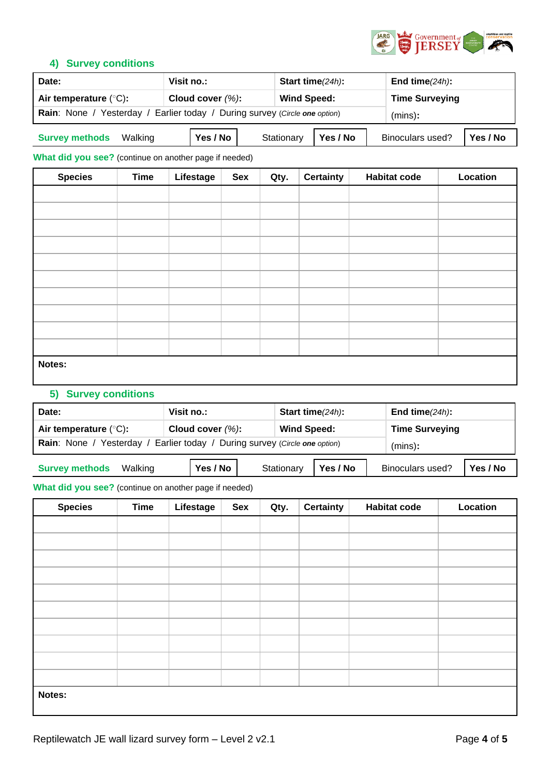

#### **4) Survey conditions**

| Date:                                                                              | Start time $(24h)$ :<br>Visit no.: |                        | End time $(24h)$ :           |  |
|------------------------------------------------------------------------------------|------------------------------------|------------------------|------------------------------|--|
| Air temperature $(°C)$ :                                                           | Cloud cover $(\%)$ :               | <b>Wind Speed:</b>     | <b>Time Surveying</b>        |  |
| Earlier today / During survey (Circle one option)<br><b>Rain:</b> None / Yesterday | (mins):                            |                        |                              |  |
| <b>Survey methods</b><br>Walking                                                   | Yes / No                           | Yes / No<br>Stationary | Binoculars used?<br>Yes / No |  |

**What did you see?** (continue on another page if needed)

| <b>Species</b> | <b>Time</b> | Lifestage | Sex | Qty. | <b>Certainty</b> | <b>Habitat code</b> | Location |
|----------------|-------------|-----------|-----|------|------------------|---------------------|----------|
|                |             |           |     |      |                  |                     |          |
|                |             |           |     |      |                  |                     |          |
|                |             |           |     |      |                  |                     |          |
|                |             |           |     |      |                  |                     |          |
|                |             |           |     |      |                  |                     |          |
|                |             |           |     |      |                  |                     |          |
|                |             |           |     |      |                  |                     |          |
|                |             |           |     |      |                  |                     |          |
|                |             |           |     |      |                  |                     |          |
|                |             |           |     |      |                  |                     |          |
| Notes:         |             |           |     |      |                  |                     |          |

# **5) Survey conditions**

| Date:                                                                                                  | Visit no.:           | Start time $(24h)$ : | End time $(24h)$ :    |  |  |  |
|--------------------------------------------------------------------------------------------------------|----------------------|----------------------|-----------------------|--|--|--|
| Air temperature $(°C)$ :                                                                               | Cloud cover $(\%)$ : | <b>Wind Speed:</b>   | <b>Time Surveying</b> |  |  |  |
| Rain: None / Yesterday<br>Earlier today / During survey (Circle one option)<br>(mins):                 |                      |                      |                       |  |  |  |
| Yes / No<br>Yes / No<br><b>Survey methods</b><br>Yes / No<br>Binoculars used?<br>Stationary<br>Walking |                      |                      |                       |  |  |  |

#### **What did you see?** (continue on another page if needed)

| <b>Species</b> | <b>Time</b> | Lifestage | Sex | Qty. | <b>Certainty</b> | <b>Habitat code</b> | Location |
|----------------|-------------|-----------|-----|------|------------------|---------------------|----------|
|                |             |           |     |      |                  |                     |          |
|                |             |           |     |      |                  |                     |          |
|                |             |           |     |      |                  |                     |          |
|                |             |           |     |      |                  |                     |          |
|                |             |           |     |      |                  |                     |          |
|                |             |           |     |      |                  |                     |          |
|                |             |           |     |      |                  |                     |          |
|                |             |           |     |      |                  |                     |          |
|                |             |           |     |      |                  |                     |          |
|                |             |           |     |      |                  |                     |          |
| Notes:         |             |           |     |      |                  |                     |          |